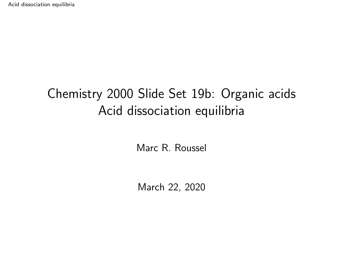# <span id="page-0-0"></span>Chemistry 2000 Slide Set 19b: Organic acids Acid dissociation equilibria

Marc R. Roussel

March 22, 2020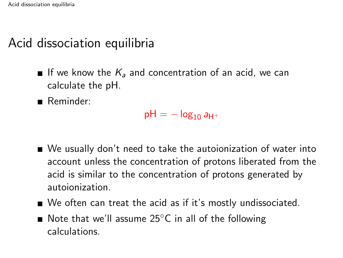# Acid dissociation equilibria

- If we know the  $K_a$  and concentration of an acid, we can calculate the pH.
- Reminder:

 $pH = -\log_{10} a_{H^+}$ 

- We usually don't need to take the autoionization of water into account unless the concentration of protons liberated from the acid is similar to the concentration of protons generated by autoionization.
- We often can treat the acid as if it's mostly undissociated.
- Note that we'll assume 25 $\degree$ C in all of the following calculations.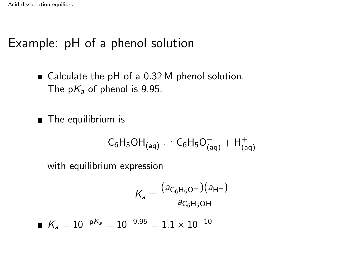# Example: pH of a phenol solution

■ Calculate the pH of a 0.32 M phenol solution. The  $pK_a$  of phenol is 9.95.

**The equilibrium is** 

$$
C_6H_5OH_{(aq)}\rightleftharpoons C_6H_5O^-_{(aq)}+H^+_{(aq)}
$$

with equilibrium expression

$$
K_a = \frac{(a_{C_6H_5O^-})(a_{H^+})}{a_{C_6H_5OH}}
$$

$$
\blacksquare \hspace{0.2cm} \mathcal{K}_{\mathsf{a}} = 10^{-\mathsf{p} \mathcal{K}_{\mathsf{a}}} = 10^{-9.95} = 1.1 \times 10^{-10}
$$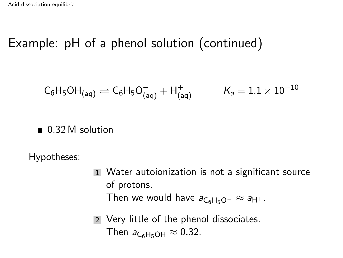# Example: pH of a phenol solution (continued)

$$
\mathsf{C}_6\mathsf{H}_5\mathsf{OH}_{(\mathsf{aq})}\rightleftharpoons \mathsf{C}_6\mathsf{H}_5\mathsf{O}_{(\mathsf{aq})}^-+\mathsf{H}_{(\mathsf{aq})}^+\qquad \ \ \mathsf{K}_\mathsf{a}=1.1\times 10^{-10}
$$

#### ■ 0.32 M solution

Hypotheses:

- 1 Water autoionization is not a significant source of protons. Then we would have  $a_{C_6H_5O^-} \approx a_{H^+}$ .
- 2 Very little of the phenol dissociates. Then  $a_{\text{C}_6\text{H}_5\text{OH}} \approx 0.32$ .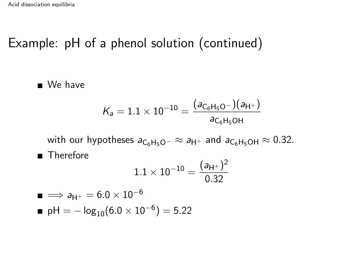# Example: pH of a phenol solution (continued)

■ We have

$$
\mathcal{K}_a = 1.1 \times 10^{-10} = \frac{\left(a_{C_6H_5O^-}\right)\left(a_{H^+}\right)}{a_{C_6H_5OH}}
$$

with our hypotheses  $a_{C_6H_5O^-} \approx a_{H^+}$  and  $a_{C_6H_5OH} \approx 0.32$ .

**Therefore** 

$$
1.1\times 10^{-10} = \frac{(a_{H^+})^2}{0.32}
$$

■ 
$$
\implies a_{H^+} = 6.0 \times 10^{-6}
$$
  
\n■ pH =  $-\log_{10}(6.0 \times 10^{-6}) = 5.22$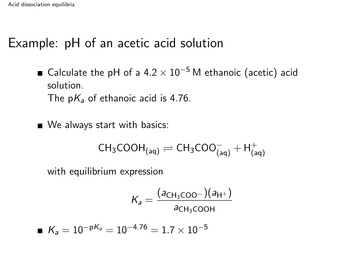#### Example: pH of an acetic acid solution

■ Calculate the pH of a  $4.2 \times 10^{-5}$  M ethanoic (acetic) acid solution. The  $pK_a$  of ethanoic acid is 4.76.

■ We always start with basics:

$$
\text{CH}_3\text{COOH}_{\text{(aq)}}\rightleftharpoons \text{CH}_3\text{COO}^-_{\text{(aq)}} + \text{H}^+_{\text{(aq)}}
$$

with equilibrium expression

$$
K_a = \frac{(a_{\text{CH}_3\text{COO}^-})(a_{\text{H}^+})}{a_{\text{CH}_3\text{COOH}}}
$$

$$
K_a=10^{-\text{p}K_a}=10^{-4.76}=1.7\times10^{-5}
$$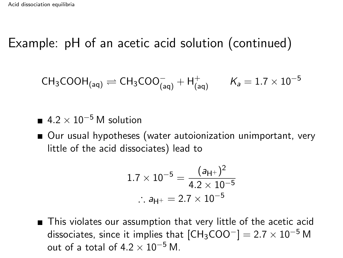$$
\text{CH}_3\text{COOH}_{\text{(aq)}} \rightleftharpoons \text{CH}_3\text{COO}^-_{\text{(aq)}} + \text{H}^+_{\text{(aq)}} \qquad \text{K}_a = 1.7 \times 10^{-5}
$$

- $= 4.2 \times 10^{-5}$  M solution
- Our usual hypotheses (water autoionization unimportant, very little of the acid dissociates) lead to

$$
1.7 \times 10^{-5} = \frac{(a_{\text{H}^+})^2}{4.2 \times 10^{-5}}
$$
  
∴  $a_{\text{H}^+} = 2.7 \times 10^{-5}$ 

■ This violates our assumption that very little of the acetic acid dissociates, since it implies that  $[CH_3COO^-] = 2.7 \times 10^{-5}$  M out of a total of  $4.2 \times 10^{-5}$  M.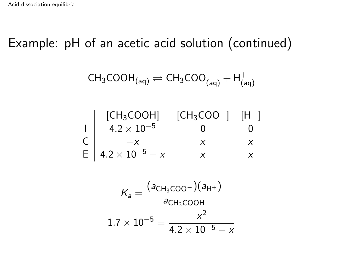$$
\text{CH}_3\text{COOH}_{\text{(aq)}}\rightleftharpoons \text{CH}_3\text{COO}^-_{\text{(aq)}} + \text{H}^+_{\text{(aq)}}
$$

| [CH <sub>3</sub> COOH]                | $[CH_3COO^-]$ | $[H^+]$ |
|---------------------------------------|---------------|---------|
| $4.2 \times 10^{-5}$                  |               |         |
| $-\chi$                               |               |         |
| $E$ 4.2 $\times$ 10 <sup>-5</sup> – x |               |         |

$$
K_a = \frac{(a_{CH_3COO^-})(a_{H^+})}{a_{CH_3COOH}}
$$
  
1.7 × 10<sup>-5</sup> =  $\frac{x^2}{4.2 \times 10^{-5} - x}$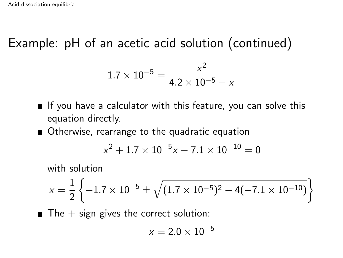$$
1.7 \times 10^{-5} = \frac{x^2}{4.2 \times 10^{-5} - x}
$$

If you have a calculator with this feature, you can solve this equation directly.

■ Otherwise, rearrange to the quadratic equation

$$
x^2+1.7\times 10^{-5}x-7.1\times 10^{-10}=0
$$

with solution

$$
x = \frac{1}{2} \left\{-1.7 \times 10^{-5} \pm \sqrt{(1.7 \times 10^{-5})^2 - 4(-7.1 \times 10^{-10})}\right\}
$$

 $\blacksquare$  The  $+$  sign gives the correct solution:

$$
x=2.0\times10^{-5}
$$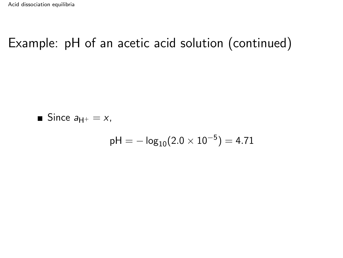■ Since 
$$
a_{H^+} = x
$$
,

$$
pH = -\log_{10}(2.0 \times 10^{-5}) = 4.71
$$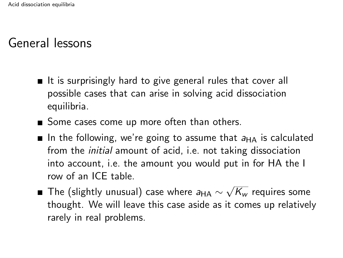- $\blacksquare$  It is surprisingly hard to give general rules that cover all possible cases that can arise in solving acid dissociation equilibria.
- Some cases come up more often than others.
- In the following, we're going to assume that  $a_{HA}$  is calculated from the initial amount of acid, i.e. not taking dissociation into account, i.e. the amount you would put in for HA the I row of an ICE table.
- The (slightly unusual) case where  $a_{\mathsf{HA}} \sim$ √  $\overline{\mathsf{K}_{w}}$  requires some thought. We will leave this case aside as it comes up relatively rarely in real problems.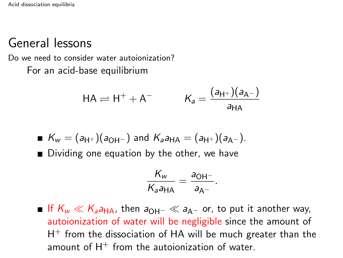Do we need to consider water autoionization? For an acid-base equilibrium

$$
HA \rightleftharpoons H^{+} + A^{-} \qquad K_{a} = \frac{(a_{H^{+}})(a_{A^{-}})}{a_{HA}}
$$

$$
K_w = (a_{H^+})(a_{OH^-})
$$
 and  $K_a a_{HA} = (a_{H^+})(a_{A^-}).$ 

■ Dividing one equation by the other, we have

$$
\frac{K_{w}}{K_{a}a_{\text{HA}}}=\frac{a_{\text{OH}^{-}}}{a_{\text{A}^{-}}}.
$$

**If**  $K_w \ll K_a a_{HA}$ , then  $a_{OH^-} \ll a_{A^-}$  or, to put it another way, autoionization of water will be negligible since the amount of  $H^{+}$  from the dissociation of HA will be much greater than the amount of  $H^+$  from the autoionization of water.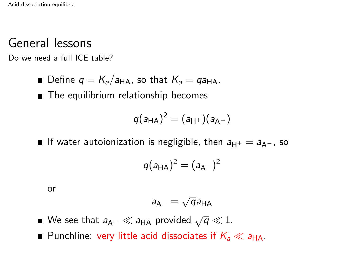Do we need a full ICE table?

**D**efine  $q = K_a/a_{HA}$ , so that  $K_a = qa_{HA}$ .

■ The equilibrium relationship becomes

$$
q(a_{\mathsf{HA}})^2=(a_{\mathsf{H}^+})(a_{\mathsf{A}^-})
$$

**■** If water autoionization is negligible, then  $a_{H^+} = a_{A^-}$ , so

$$
q(a_{\mathsf{HA}})^2=(a_{\mathsf{A}^-})^2
$$

or

$$
a_{A^-}=\sqrt{q}a_{HA}
$$

- We see that  $a_\mathsf{A^+}\ll a_\mathsf{HA}$  provided  $\sqrt{q}\ll 1$ .
- Punchline: very little acid dissociates if  $K_a \ll a_{\text{HA}}$ .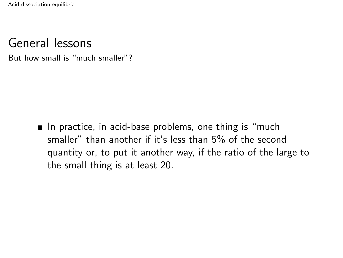But how small is "much smaller"?

 $\blacksquare$  In practice, in acid-base problems, one thing is "much smaller" than another if it's less than 5% of the second quantity or, to put it another way, if the ratio of the large to the small thing is at least 20.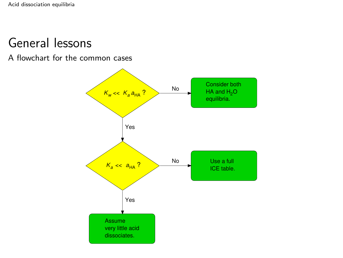A flowchart for the common cases

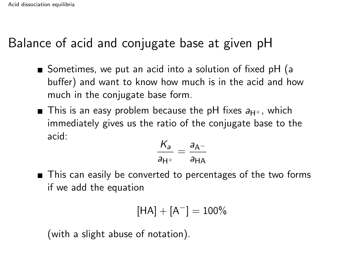# Balance of acid and conjugate base at given pH

- Sometimes, we put an acid into a solution of fixed pH (a buffer) and want to know how much is in the acid and how much in the conjugate base form.
- **This is an easy problem because the pH fixes**  $a_{H+}$ **, which** immediately gives us the ratio of the conjugate base to the acid:

$$
\frac{K_a}{a_{\mathsf{H}^+}} = \frac{a_{\mathsf{A}^-}}{a_{\mathsf{H}\mathsf{A}}}
$$

■ This can easily be converted to percentages of the two forms if we add the equation

$$
\left[HA\right] + \left[A^{-}\right] = 100\%
$$

(with a slight abuse of notation).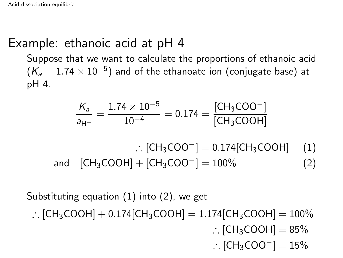### Example: ethanoic acid at pH 4

Suppose that we want to calculate the proportions of ethanoic acid  $(\mathcal{K}_a = 1.74 \times 10^{-5})$  and of the ethanoate ion (conjugate base) at pH 4.

$$
\frac{K_a}{a_{H^+}} = \frac{1.74 \times 10^{-5}}{10^{-4}} = 0.174 = \frac{[CH_3COO^-]}{[CH_3COOH]}
$$

- ∴  $[CH_3COO^-] = 0.174[CH_3COOH]$  (1)
- and  $[CH_3COOH] + [CH_3COO^-] = 100\%$  (2)

Substituting equation [\(1\)](#page-16-0) into [\(2\)](#page-16-1), we get

∴ [CH<sub>3</sub>COOH] + 0.174[CH<sub>3</sub>COOH] = 1.174[CH<sub>3</sub>COOH] = 100% ∴  $[CH<sub>3</sub>COOH] = 85%$ 

<span id="page-16-1"></span><span id="page-16-0"></span>
$$
\therefore [\text{CH}_3\text{COO}^-]=15\%
$$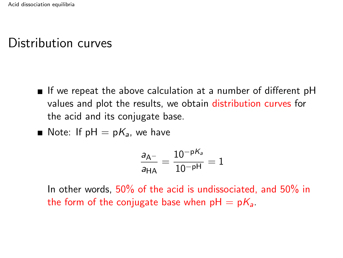# Distribution curves

- If we repeat the above calculation at a number of different  $pH$ values and plot the results, we obtain distribution curves for the acid and its conjugate base.
- Note: If  $pH = pK_a$ , we have

$$
\frac{a_{A^-}}{a_{HA}} = \frac{10^{-pK_a}}{10^{-pH}} = 1
$$

In other words, 50% of the acid is undissociated, and 50% in the form of the conjugate base when  $pH = pK_a$ .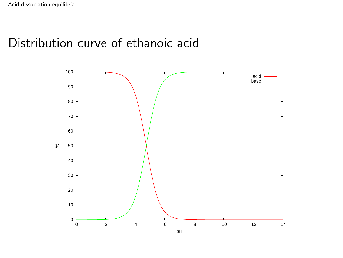### Distribution curve of ethanoic acid

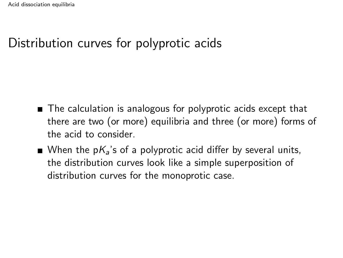# Distribution curves for polyprotic acids

- The calculation is analogous for polyprotic acids except that there are two (or more) equilibria and three (or more) forms of the acid to consider.
- When the  $pK_a$ 's of a polyprotic acid differ by several units, the distribution curves look like a simple superposition of distribution curves for the monoprotic case.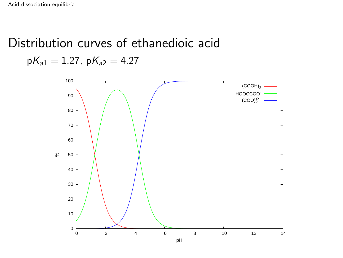# Distribution curves of ethanedioic acid  $pK_{a1} = 1.27$ ,  $pK_{a2} = 4.27$



pH